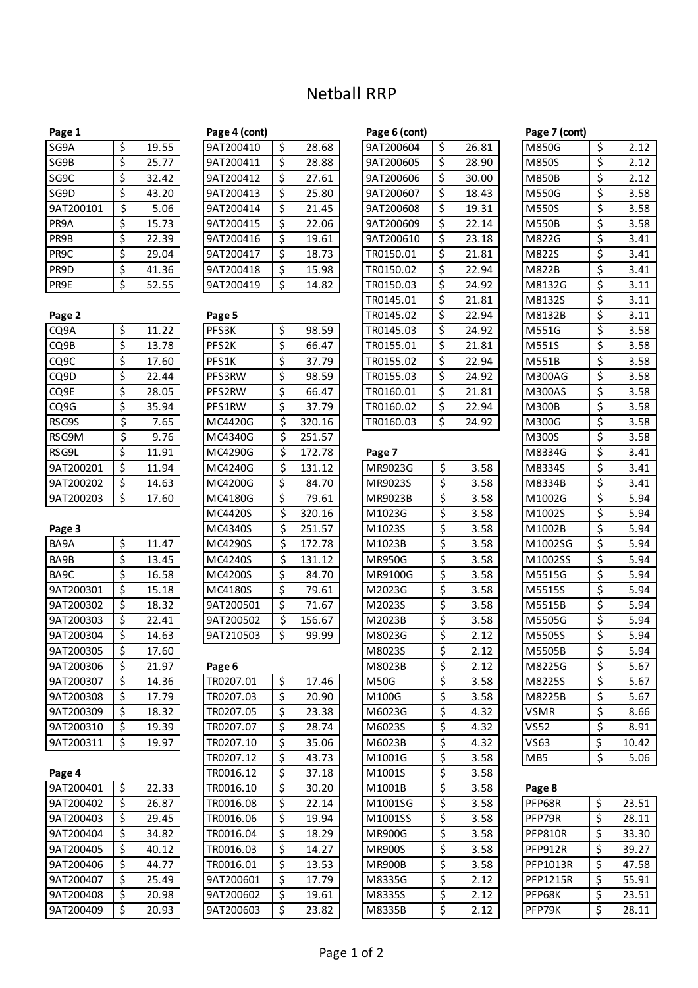# Netball RRP

| SG9A      | \$<br>19.55 |
|-----------|-------------|
| SG9B      | \$<br>25.77 |
| SG9C      | \$<br>32.42 |
| SG9D      | \$<br>43.20 |
| 9AT200101 | \$<br>5.06  |
| PR9A      | \$<br>15.73 |
| PR9B      | \$<br>22.39 |
| PR9C      | \$<br>29.04 |
| PR9D      | \$<br>41.36 |
| PR9E      | \$<br>52.55 |

| Page 2    |             |
|-----------|-------------|
| CQ9A      | \$<br>11.22 |
| CQ9B      | \$<br>13.78 |
| CQ9C      | \$<br>17.60 |
| CQ9D      | \$<br>22.44 |
| CQ9E      | \$<br>28.05 |
| CQ9G      | \$<br>35.94 |
| RSG9S     | \$<br>7.65  |
| RSG9M     | \$<br>9.76  |
| RSG9L     | \$<br>11.91 |
| 9AT200201 | \$<br>11.94 |
| 9AT200202 | \$<br>14.63 |
| 9AT200203 | \$<br>17.60 |

|--|

| BA9A              | \$<br>11.47 |
|-------------------|-------------|
| BA9B              | \$<br>13.45 |
| BA <sub>9</sub> C | \$<br>16.58 |
| 9AT200301         | \$<br>15.18 |
| 9AT200302         | \$<br>18.32 |
| 9AT200303         | \$<br>22.41 |
| 9AT200304         | \$<br>14.63 |
| 9AT200305         | \$<br>17.60 |
| 9AT200306         | \$<br>21.97 |
| 9AT200307         | \$<br>14.36 |
| 9AT200308         | \$<br>17.79 |
| 9AT200309         | \$<br>18.32 |
| 9AT200310         | \$<br>19.39 |
| 9AT200311         | \$<br>19.97 |
|                   |             |

| \$ | 22.33 |
|----|-------|
| \$ | 26.87 |
| \$ | 29.45 |
| Ś  | 34.82 |
| Ś  | 40.12 |
| Ś  | 44.77 |
| Ś  | 25.49 |
| Ś  | 20.98 |
| Ś  | 20.93 |
|    |       |

| 9AT200410 | Ś  | 28.68 |
|-----------|----|-------|
| 9AT200411 | \$ | 28.88 |
| 9AT200412 | \$ | 27.61 |
| 9AT200413 | \$ | 25.80 |
| 9AT200414 | \$ | 21.45 |
| 9AT200415 | \$ | 22.06 |
| 9AT200416 | Ś  | 19.61 |
| 9AT200417 | \$ | 18.73 |
| 9AT200418 | \$ | 15.98 |
| 9AT200419 | Ś  | 14.82 |

| Page 2    |             | Page 5            |    |        | TR0145.02     | \$<br>22.94 | M8132B        | \$ | 3.11 |
|-----------|-------------|-------------------|----|--------|---------------|-------------|---------------|----|------|
| CQ9A      | \$<br>11.22 | PFS3K             | \$ | 98.59  | TR0145.03     | \$<br>24.92 | M551G         | \$ | 3.58 |
| CQ9B      | \$<br>13.78 | PFS <sub>2K</sub> | \$ | 66.47  | TR0155.01     | \$<br>21.81 | M551S         | \$ | 3.58 |
| CQ9C      | \$<br>17.60 | PFS1K             | \$ | 37.79  | TR0155.02     | \$<br>22.94 | M551B         | \$ | 3.58 |
| CQ9D      | \$<br>22.44 | PFS3RW            | \$ | 98.59  | TR0155.03     | \$<br>24.92 | <b>M300AG</b> | \$ | 3.58 |
| CQ9E      | \$<br>28.05 | PFS2RW            | \$ | 66.47  | TR0160.01     | \$<br>21.81 | <b>M300AS</b> | \$ | 3.58 |
| CQ9G      | \$<br>35.94 | PFS1RW            | \$ | 37.79  | TR0160.02     | \$<br>22.94 | M300B         | \$ | 3.58 |
| RSG9S     | \$<br>7.65  | MC4420G           | \$ | 320.16 | TR0160.03     | \$<br>24.92 | M300G         | \$ | 3.58 |
| RSG9M     | \$<br>9.76  | MC4340G           | \$ | 251.57 |               |             | M300S         | \$ | 3.58 |
| RSG9L     | \$<br>11.91 | MC4290G           | \$ | 172.78 | Page 7        |             | M8334G        | \$ | 3.41 |
| 9AT200201 | \$<br>11.94 | MC4240G           | \$ | 131.12 | MR9023G       | \$<br>3.58  | M8334S        | \$ | 3.41 |
| 9AT200202 | \$<br>14.63 | MC4200G           | \$ | 84.70  | MR9023S       | \$<br>3.58  | M8334B        | \$ | 3.41 |
| 9AT200203 | \$<br>17.60 | MC4180G           | \$ | 79.61  | MR9023B       | \$<br>3.58  | M1002G        | \$ | 5.94 |
|           |             | MC4420S           | \$ | 320.16 | M1023G        | \$<br>3.58  | M1002S        | \$ | 5.94 |
| Page 3    |             | MC4340S           | \$ | 251.57 | M1023S        | \$<br>3.58  | M1002B        | \$ | 5.94 |
| BA9A      | \$<br>11.47 | MC4290S           | \$ | 172.78 | M1023B        | \$<br>3.58  | M1002SG       | \$ | 5.94 |
| BA9B      | \$<br>13.45 | MC4240S           | Ś. | 131.12 | <b>MR950G</b> | \$<br>3.58  | M1002SS       | \$ | 5.94 |
| BA9C      | \$<br>16.58 | MC4200S           | \$ | 84.70  | MR9100G       | \$<br>3.58  | M5515G        | \$ | 5.94 |
| 9AT200301 | \$<br>15.18 | MC4180S           | \$ | 79.61  | M2023G        | \$<br>3.58  | M5515S        | \$ | 5.94 |
| 9AT200302 | \$<br>18.32 | 9AT200501         | \$ | 71.67  | M2023S        | \$<br>3.58  | M5515B        | \$ | 5.94 |
| 9AT200303 | \$<br>22.41 | 9AT200502         | \$ | 156.67 | M2023B        | \$<br>3.58  | M5505G        | \$ | 5.94 |
| 9AT200304 | 14.63       | 9AT210503         |    | 99.99  | M8023G        | \$<br>2.12  | M5505S        | Ś  | 5.94 |

| 9AT200307 | \$<br>14.36 | TR0207.01 | \$<br>17.46 | <b>M50G</b>   | \$<br>3.58 |
|-----------|-------------|-----------|-------------|---------------|------------|
| 9AT200308 | \$<br>17.79 | TR0207.03 | \$<br>20.90 | M100G         | \$<br>3.58 |
| 9AT200309 | \$<br>18.32 | TR0207.05 | \$<br>23.38 | M6023G        | \$<br>4.32 |
| 9AT200310 | \$<br>19.39 | TR0207.07 | \$<br>28.74 | M6023S        | \$<br>4.32 |
| 9AT200311 | \$<br>19.97 | TR0207.10 | \$<br>35.06 | M6023B        | \$<br>4.32 |
|           |             | TR0207.12 | \$<br>43.73 | M1001G        | \$<br>3.58 |
| Page 4    |             | TR0016.12 | \$<br>37.18 | M1001S        | \$<br>3.58 |
| 9AT200401 | \$<br>22.33 | TR0016.10 | \$<br>30.20 | M1001B        | \$<br>3.58 |
| 9AT200402 | \$<br>26.87 | TR0016.08 | \$<br>22.14 | M1001SG       | \$<br>3.58 |
| 9AT200403 | \$<br>29.45 | TR0016.06 | \$<br>19.94 | M1001SS       | \$<br>3.58 |
| 9AT200404 | \$<br>34.82 | TR0016.04 | \$<br>18.29 | <b>MR900G</b> | \$<br>3.58 |
| 9AT200405 | \$<br>40.12 | TR0016.03 | \$<br>14.27 | <b>MR900S</b> | \$<br>3.58 |
| 9AT200406 | \$<br>44.77 | TR0016.01 | \$<br>13.53 | <b>MR900B</b> | \$<br>3.58 |
| 9AT200407 | \$<br>25.49 | 9AT200601 | \$<br>17.79 | M8335G        | \$<br>2.12 |
| 9AT200408 | \$<br>20.98 | 9AT200602 | \$<br>19.61 | M8335S        | \$<br>2.12 |
| 9AT200409 | \$<br>20.93 | 9AT200603 | \$<br>23.82 | M8335B        | \$<br>2.12 |
|           |             |           |             |               |            |

| Page 1            |             | Page 4 (cont)     |    |        | Page 6 (cont) |             | Page 7 (cont) |            |
|-------------------|-------------|-------------------|----|--------|---------------|-------------|---------------|------------|
| SG9A              | \$<br>19.55 | 9AT200410         | \$ | 28.68  | 9AT200604     | \$<br>26.81 | M850G         | \$<br>2.12 |
| SG9B              | \$<br>25.77 | 9AT200411         | Ś. | 28.88  | 9AT200605     | \$<br>28.90 | M850S         | \$<br>2.12 |
| SG9C              | \$<br>32.42 | 9AT200412         | \$ | 27.61  | 9AT200606     | \$<br>30.00 | <b>M850B</b>  | \$<br>2.12 |
| SG9D              | \$<br>43.20 | 9AT200413         | Ś. | 25.80  | 9AT200607     | \$<br>18.43 | M550G         | \$<br>3.58 |
| 9AT200101         | \$<br>5.06  | 9AT200414         | \$ | 21.45  | 9AT200608     | \$<br>19.31 | <b>M550S</b>  | \$<br>3.58 |
| PR9A              | \$<br>15.73 | 9AT200415         | Ś  | 22.06  | 9AT200609     | \$<br>22.14 | <b>M550B</b>  | \$<br>3.58 |
| PR9B              | \$<br>22.39 | 9AT200416         | \$ | 19.61  | 9AT200610     | \$<br>23.18 | M822G         | \$<br>3.41 |
| PR9C              | \$<br>29.04 | 9AT200417         | \$ | 18.73  | TR0150.01     | \$<br>21.81 | M822S         | \$<br>3.41 |
| PR9D              | \$<br>41.36 | 9AT200418         | \$ | 15.98  | TR0150.02     | \$<br>22.94 | M822B         | \$<br>3.41 |
| PR9E              | \$<br>52.55 | 9AT200419         | \$ | 14.82  | TR0150.03     | \$<br>24.92 | M8132G        | \$<br>3.11 |
|                   |             |                   |    |        | TR0145.01     | \$<br>21.81 | M8132S        | \$<br>3.11 |
| Page 2            |             | Page 5            |    |        | TR0145.02     | \$<br>22.94 | M8132B        | \$<br>3.11 |
| CQ9A              | \$<br>11.22 | PFS3K             | \$ | 98.59  | TR0145.03     | \$<br>24.92 | M551G         | \$<br>3.58 |
| CQ9B              | \$<br>13.78 | PFS <sub>2K</sub> | \$ | 66.47  | TR0155.01     | \$<br>21.81 | M551S         | \$<br>3.58 |
| CQ <sub>9</sub> C | \$<br>17.60 | PFS1K             | \$ | 37.79  | TR0155.02     | \$<br>22.94 | M551B         | \$<br>3.58 |
| CQ9D              | \$<br>22.44 | PFS3RW            | \$ | 98.59  | TR0155.03     | \$<br>24.92 | M300AG        | \$<br>3.58 |
| CQ9E              | \$<br>28.05 | PFS2RW            | \$ | 66.47  | TR0160.01     | \$<br>21.81 | <b>M300AS</b> | \$<br>3.58 |
| CQ9G              | \$<br>35.94 | PFS1RW            | \$ | 37.79  | TR0160.02     | \$<br>22.94 | M300B         | \$<br>3.58 |
| RSG9S             | \$<br>7.65  | MC4420G           | \$ | 320.16 | TR0160.03     | \$<br>24.92 | M300G         | \$<br>3.58 |

| וכטטו     |                          | ᆂᆂᇴᄀᆂ | <b>IVIC+2500</b> |                          | 172.70 | ragc /        |                  |      | ט <del>ו</del> יככסועו |                  | J.+1  |
|-----------|--------------------------|-------|------------------|--------------------------|--------|---------------|------------------|------|------------------------|------------------|-------|
| 9AT200201 | \$                       | 11.94 | MC4240G          | $\overline{\mathcal{S}}$ | 131.12 | MR9023G       | $\overline{\xi}$ | 3.58 | M8334S                 | $\overline{\xi}$ | 3.41  |
| 9AT200202 | \$                       | 14.63 | MC4200G          | \$                       | 84.70  | MR9023S       | \$               | 3.58 | M8334B                 | \$               | 3.41  |
| 9AT200203 | $\overline{\mathcal{L}}$ | 17.60 | MC4180G          | \$                       | 79.61  | MR9023B       | \$               | 3.58 | M1002G                 | $\overline{\xi}$ | 5.94  |
|           |                          |       | MC4420S          | \$                       | 320.16 | M1023G        | \$               | 3.58 | M1002S                 | \$               | 5.94  |
| Page 3    |                          |       | MC4340S          | \$                       | 251.57 | M1023S        | \$               | 3.58 | M1002B                 | \$               | 5.94  |
| BA9A      | \$                       | 11.47 | MC4290S          | \$                       | 172.78 | M1023B        | \$               | 3.58 | M1002SG                | \$               | 5.94  |
| BA9B      | \$                       | 13.45 | MC4240S          | \$                       | 131.12 | MR950G        | \$               | 3.58 | M1002SS                | \$               | 5.94  |
| BA9C      | \$                       | 16.58 | MC4200S          | \$                       | 84.70  | MR9100G       | \$               | 3.58 | M5515G                 | \$               | 5.94  |
| 9AT200301 | \$                       | 15.18 | MC4180S          | \$                       | 79.61  | M2023G        | \$               | 3.58 | M5515S                 | \$               | 5.94  |
| 9AT200302 | \$                       | 18.32 | 9AT200501        | \$                       | 71.67  | M2023S        | \$               | 3.58 | M5515B                 | \$               | 5.94  |
| 9AT200303 | \$                       | 22.41 | 9AT200502        | \$                       | 156.67 | M2023B        | \$               | 3.58 | M5505G                 | \$               | 5.94  |
| 9AT200304 | \$                       | 14.63 | 9AT210503        | \$                       | 99.99  | M8023G        | \$               | 2.12 | M5505S                 | \$               | 5.94  |
| 9AT200305 | \$                       | 17.60 |                  |                          |        | M8023S        | \$               | 2.12 | M5505B                 | \$               | 5.94  |
| 9AT200306 | \$                       | 21.97 | Page 6           |                          |        | M8023B        | \$               | 2.12 | M8225G                 | \$               | 5.67  |
| 9AT200307 | \$                       | 14.36 | TR0207.01        | \$                       | 17.46  | <b>M50G</b>   | \$               | 3.58 | M8225S                 | \$               | 5.67  |
| 9AT200308 | \$                       | 17.79 | TR0207.03        | $\overline{\mathsf{S}}$  | 20.90  | M100G         | \$               | 3.58 | M8225B                 | \$               | 5.67  |
| 9AT200309 | \$                       | 18.32 | TR0207.05        | \$                       | 23.38  | M6023G        | \$               | 4.32 | <b>VSMR</b>            | $\overline{\xi}$ | 8.66  |
| 9AT200310 | \$                       | 19.39 | TR0207.07        | \$                       | 28.74  | M6023S        | \$               | 4.32 | <b>VS52</b>            | \$               | 8.91  |
| 9AT200311 | $\overline{\mathcal{S}}$ | 19.97 | TR0207.10        | \$                       | 35.06  | M6023B        | \$               | 4.32 | <b>VS63</b>            | \$               | 10.42 |
|           |                          |       | TR0207.12        | $\overline{\xi}$         | 43.73  | M1001G        | \$               | 3.58 | MB5                    | $\overline{\xi}$ | 5.06  |
| Page 4    |                          |       | TR0016.12        | \$                       | 37.18  | M1001S        | \$               | 3.58 |                        |                  |       |
| 9AT200401 | $\overline{\xi}$         | 22.33 | TR0016.10        | $\overline{\mathsf{S}}$  | 30.20  | M1001B        | \$               | 3.58 | Page 8                 |                  |       |
| 9AT200402 | \$                       | 26.87 | TR0016.08        | \$                       | 22.14  | M1001SG       | \$               | 3.58 | PFP68R                 | \$               | 23.51 |
| 9AT200403 | \$                       | 29.45 | TR0016.06        | \$                       | 19.94  | M1001SS       | \$               | 3.58 | PFP79R                 | \$               | 28.11 |
| 9AT200404 | \$                       | 34.82 | TR0016.04        | \$                       | 18.29  | <b>MR900G</b> | \$               | 3.58 | <b>PFP810R</b>         | \$               | 33.30 |
| 9AT200405 | \$                       | 40.12 | TR0016.03        | $\overline{\mathcal{S}}$ | 14.27  | <b>MR900S</b> | \$               | 3.58 | <b>PFP912R</b>         | \$               | 39.27 |
| 9AT200406 | \$                       | 44.77 | TR0016.01        | \$                       | 13.53  | <b>MR900B</b> | \$               | 3.58 | PFP1013R               | \$               | 47.58 |
| 9AT200407 | \$                       | 25.49 | 9AT200601        | \$                       | 17.79  | M8335G        | \$               | 2.12 | <b>PFP1215R</b>        | \$               | 55.91 |
| 9AT200408 | \$                       | 20.98 | 9AT200602        | \$                       | 19.61  | M8335S        | \$               | 2.12 | PFP68K                 | \$               | 23.51 |
| 9AT200409 | \$                       | 20.93 | 9AT200603        | \$                       | 23.82  | M8335B        | \$               | 2.12 | PFP79K                 | \$               | 28.11 |
|           |                          |       |                  |                          |        |               |                  |      |                        |                  |       |

| M850G                       |                        | 2.12              |
|-----------------------------|------------------------|-------------------|
| M850S                       |                        | 2.12              |
| M850B                       |                        | 2.12              |
| M550G                       |                        | 3.58              |
| M550S                       |                        | 3.58              |
| $M5\overline{50B}$          |                        | $\overline{3.58}$ |
| M822G                       |                        | $\frac{1}{3.41}$  |
| M822S                       |                        | 3.41              |
| M822B                       |                        | 3.41              |
| M8132G                      |                        | $\frac{1}{3.11}$  |
| M8132S                      |                        | 3.11              |
| M8132B                      |                        | 3.11              |
| M551G                       |                        | 3.58              |
| M551S                       |                        | 3.58              |
| M551B                       |                        | $\frac{1}{3.58}$  |
| M300AG                      |                        | $\frac{1}{3.58}$  |
| M300AS                      |                        | 3.58              |
| M300B                       |                        | 3.58              |
| M300G                       |                        | 3.58              |
| M300S                       |                        | 3.58              |
| M8334G                      |                        | 3.41              |
| M8334S                      |                        | 3.41              |
| M8334B                      |                        | 3.41              |
| M1002G                      |                        | 5.94              |
| M1002S                      |                        | 5.94              |
| M1002B                      |                        | 5.94              |
| M1002SG                     |                        | 5.94              |
| M1002SS                     |                        | 5.94              |
| M5515G                      |                        | $\overline{5.94}$ |
| M5515S                      |                        | 5.94              |
| M5515B                      |                        | $\frac{1}{5.94}$  |
| M5505G                      |                        | 5.94              |
| $\overline{M}$ 5505S        |                        | $\overline{5.94}$ |
| M5505B                      |                        | $\overline{5.94}$ |
| M8225G                      |                        | 5.67              |
| M8225S                      |                        | 5.67              |
| $M8225\overline{B}$         |                        | 5.67              |
| VSMR                        |                        | 8.66              |
| VS52                        |                        | 8.91              |
| $\overline{\mathsf{v}}$ S63 | \$  \$  \$  \$  \$  \$ | 10.42             |
| MB5                         |                        | 5.06              |
|                             |                        |                   |

| Page 8         |    |       |
|----------------|----|-------|
| PFP68R         | \$ | 23.51 |
| PFP79R         | \$ | 28.11 |
| <b>PFP810R</b> | \$ | 33.30 |
| <b>PFP912R</b> | \$ | 39.27 |
| PFP1013R       | \$ | 47.58 |
| PFP1215R       | \$ | 55.91 |
| PFP68K         | \$ | 23.51 |
| <b>PFP79K</b>  | ć  | 28    |